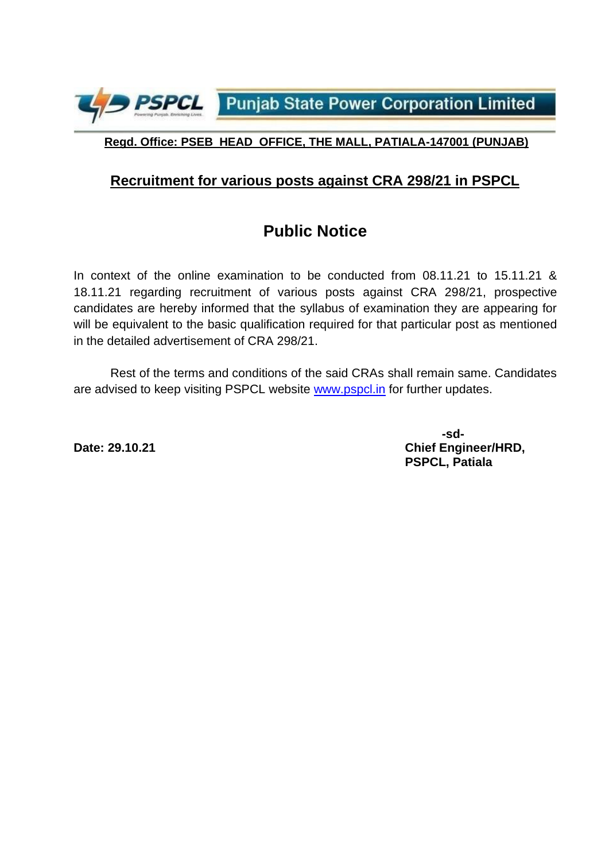**PSPCL** Punjab State Power Corporation Limited

#### **Regd. Office: PSEB HEAD OFFICE, THE MALL, PATIALA-147001 (PUNJAB)**

#### **Recruitment for various posts against CRA 298/21 in PSPCL**

## **Public Notice**

In context of the online examination to be conducted from 08.11.21 to 15.11.21 & 18.11.21 regarding recruitment of various posts against CRA 298/21, prospective candidates are hereby informed that the syllabus of examination they are appearing for will be equivalent to the basic qualification required for that particular post as mentioned in the detailed advertisement of CRA 298/21.

Rest of the terms and conditions of the said CRAs shall remain same. Candidates are advised to keep visiting PSPCL website [www.pspcl.in](http://www.pspcl.in/) for further updates.

**-sd-Date: 29.10.21 Chief Engineer/HRD, PSPCL, Patiala**